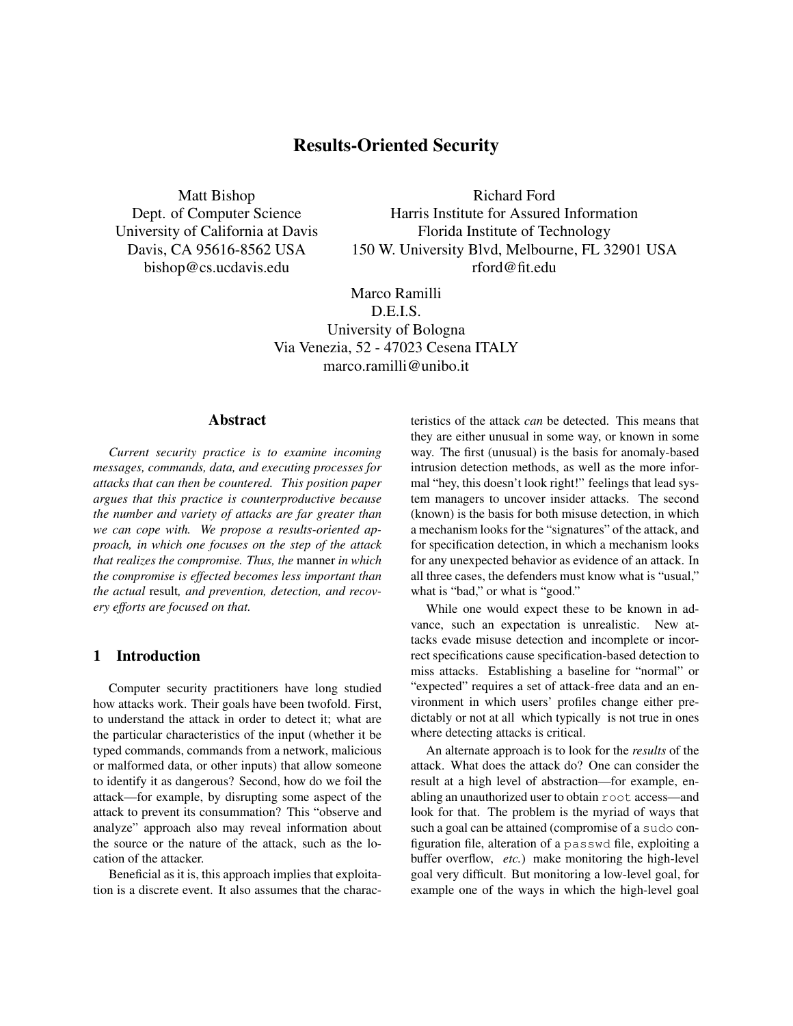# Results-Oriented Security

Matt Bishop Dept. of Computer Science University of California at Davis Davis, CA 95616-8562 USA bishop@cs.ucdavis.edu

Richard Ford Harris Institute for Assured Information Florida Institute of Technology 150 W. University Blvd, Melbourne, FL 32901 USA rford@fit.edu

Marco Ramilli D.E.I.S. University of Bologna Via Venezia, 52 - 47023 Cesena ITALY marco.ramilli@unibo.it

### Abstract

*Current security practice is to examine incoming messages, commands, data, and executing processes for attacks that can then be countered. This position paper argues that this practice is counterproductive because the number and variety of attacks are far greater than we can cope with. We propose a results-oriented approach, in which one focuses on the step of the attack that realizes the compromise. Thus, the* manner *in which the compromise is effected becomes less important than the actual* result*, and prevention, detection, and recovery efforts are focused on that.*

### 1 Introduction

Computer security practitioners have long studied how attacks work. Their goals have been twofold. First, to understand the attack in order to detect it; what are the particular characteristics of the input (whether it be typed commands, commands from a network, malicious or malformed data, or other inputs) that allow someone to identify it as dangerous? Second, how do we foil the attack—for example, by disrupting some aspect of the attack to prevent its consummation? This "observe and analyze" approach also may reveal information about the source or the nature of the attack, such as the location of the attacker.

Beneficial as it is, this approach implies that exploitation is a discrete event. It also assumes that the charac-

teristics of the attack *can* be detected. This means that they are either unusual in some way, or known in some way. The first (unusual) is the basis for anomaly-based intrusion detection methods, as well as the more informal "hey, this doesn't look right!" feelings that lead system managers to uncover insider attacks. The second (known) is the basis for both misuse detection, in which a mechanism looks for the "signatures" of the attack, and for specification detection, in which a mechanism looks for any unexpected behavior as evidence of an attack. In all three cases, the defenders must know what is "usual," what is "bad," or what is "good."

While one would expect these to be known in advance, such an expectation is unrealistic. New attacks evade misuse detection and incomplete or incorrect specifications cause specification-based detection to miss attacks. Establishing a baseline for "normal" or "expected" requires a set of attack-free data and an environment in which users' profiles change either predictably or not at all which typically is not true in ones where detecting attacks is critical.

An alternate approach is to look for the *results* of the attack. What does the attack do? One can consider the result at a high level of abstraction—for example, enabling an unauthorized user to obtain root access—and look for that. The problem is the myriad of ways that such a goal can be attained (compromise of a sudo configuration file, alteration of a passwd file, exploiting a buffer overflow, *etc.*) make monitoring the high-level goal very difficult. But monitoring a low-level goal, for example one of the ways in which the high-level goal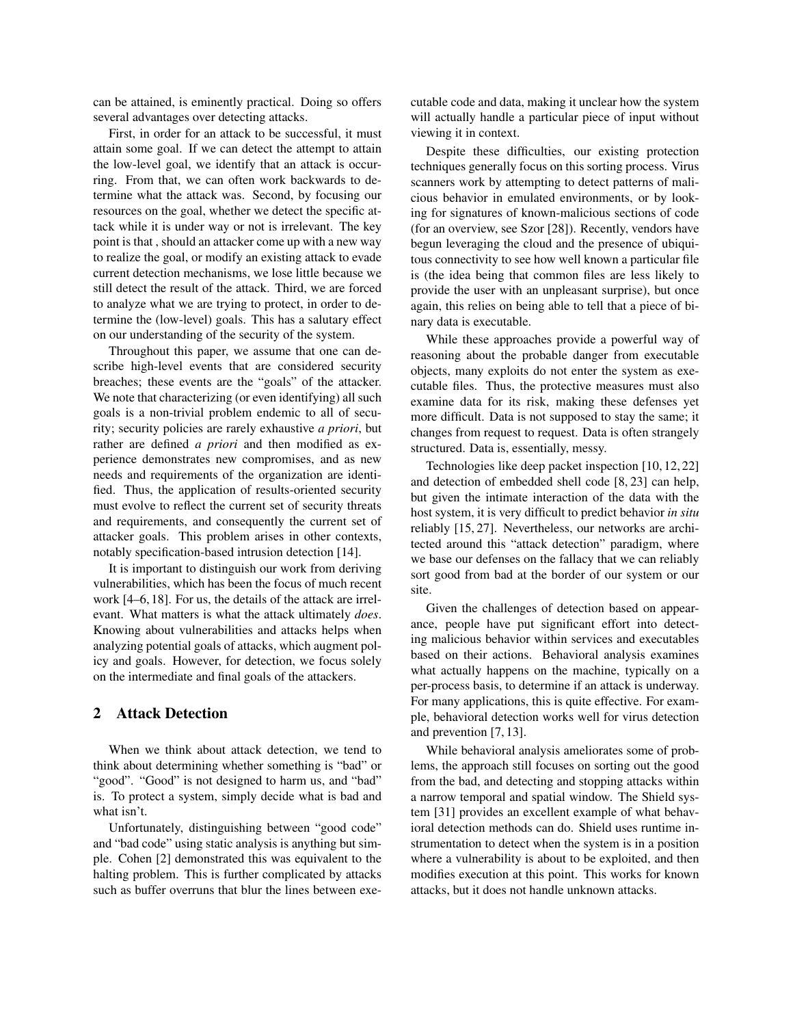can be attained, is eminently practical. Doing so offers several advantages over detecting attacks.

First, in order for an attack to be successful, it must attain some goal. If we can detect the attempt to attain the low-level goal, we identify that an attack is occurring. From that, we can often work backwards to determine what the attack was. Second, by focusing our resources on the goal, whether we detect the specific attack while it is under way or not is irrelevant. The key point is that , should an attacker come up with a new way to realize the goal, or modify an existing attack to evade current detection mechanisms, we lose little because we still detect the result of the attack. Third, we are forced to analyze what we are trying to protect, in order to determine the (low-level) goals. This has a salutary effect on our understanding of the security of the system.

Throughout this paper, we assume that one can describe high-level events that are considered security breaches; these events are the "goals" of the attacker. We note that characterizing (or even identifying) all such goals is a non-trivial problem endemic to all of security; security policies are rarely exhaustive *a priori*, but rather are defined *a priori* and then modified as experience demonstrates new compromises, and as new needs and requirements of the organization are identified. Thus, the application of results-oriented security must evolve to reflect the current set of security threats and requirements, and consequently the current set of attacker goals. This problem arises in other contexts, notably specification-based intrusion detection [14].

It is important to distinguish our work from deriving vulnerabilities, which has been the focus of much recent work [4–6, 18]. For us, the details of the attack are irrelevant. What matters is what the attack ultimately *does*. Knowing about vulnerabilities and attacks helps when analyzing potential goals of attacks, which augment policy and goals. However, for detection, we focus solely on the intermediate and final goals of the attackers.

#### 2 Attack Detection

When we think about attack detection, we tend to think about determining whether something is "bad" or "good". "Good" is not designed to harm us, and "bad" is. To protect a system, simply decide what is bad and what isn't.

Unfortunately, distinguishing between "good code" and "bad code" using static analysis is anything but simple. Cohen [2] demonstrated this was equivalent to the halting problem. This is further complicated by attacks such as buffer overruns that blur the lines between executable code and data, making it unclear how the system will actually handle a particular piece of input without viewing it in context.

Despite these difficulties, our existing protection techniques generally focus on this sorting process. Virus scanners work by attempting to detect patterns of malicious behavior in emulated environments, or by looking for signatures of known-malicious sections of code (for an overview, see Szor [28]). Recently, vendors have begun leveraging the cloud and the presence of ubiquitous connectivity to see how well known a particular file is (the idea being that common files are less likely to provide the user with an unpleasant surprise), but once again, this relies on being able to tell that a piece of binary data is executable.

While these approaches provide a powerful way of reasoning about the probable danger from executable objects, many exploits do not enter the system as executable files. Thus, the protective measures must also examine data for its risk, making these defenses yet more difficult. Data is not supposed to stay the same; it changes from request to request. Data is often strangely structured. Data is, essentially, messy.

Technologies like deep packet inspection [10, 12, 22] and detection of embedded shell code [8, 23] can help, but given the intimate interaction of the data with the host system, it is very difficult to predict behavior *in situ* reliably [15, 27]. Nevertheless, our networks are architected around this "attack detection" paradigm, where we base our defenses on the fallacy that we can reliably sort good from bad at the border of our system or our site.

Given the challenges of detection based on appearance, people have put significant effort into detecting malicious behavior within services and executables based on their actions. Behavioral analysis examines what actually happens on the machine, typically on a per-process basis, to determine if an attack is underway. For many applications, this is quite effective. For example, behavioral detection works well for virus detection and prevention [7, 13].

While behavioral analysis ameliorates some of problems, the approach still focuses on sorting out the good from the bad, and detecting and stopping attacks within a narrow temporal and spatial window. The Shield system [31] provides an excellent example of what behavioral detection methods can do. Shield uses runtime instrumentation to detect when the system is in a position where a vulnerability is about to be exploited, and then modifies execution at this point. This works for known attacks, but it does not handle unknown attacks.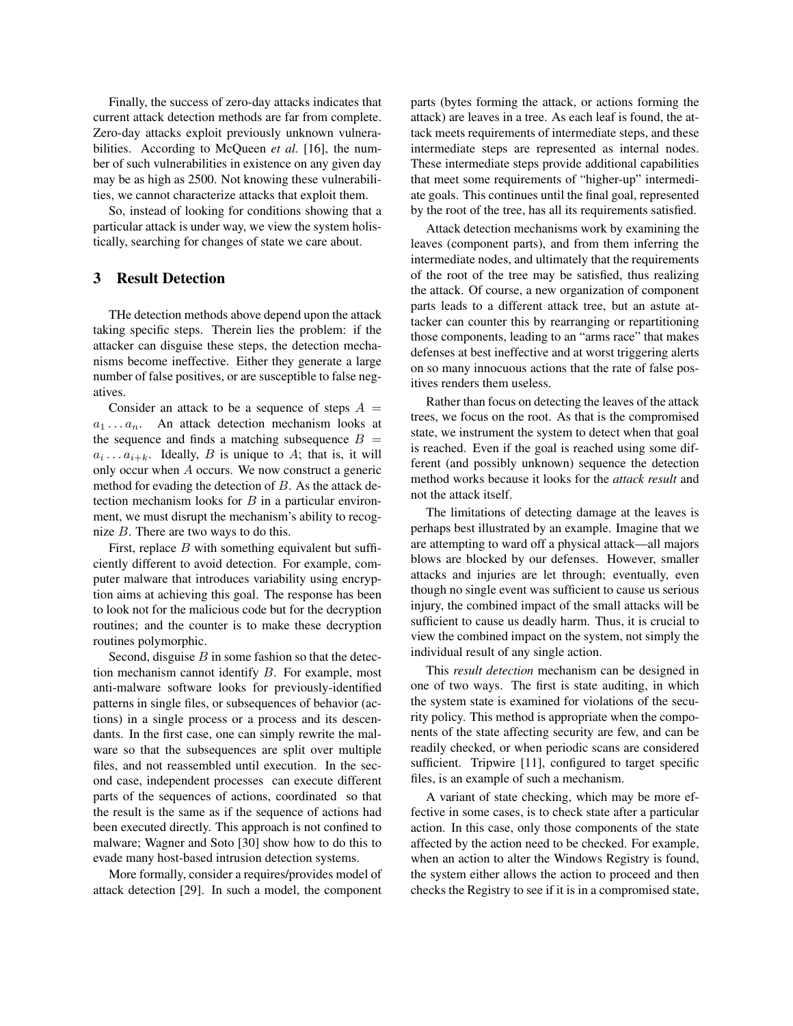Finally, the success of zero-day attacks indicates that current attack detection methods are far from complete. Zero-day attacks exploit previously unknown vulnerabilities. According to McQueen *et al.* [16], the number of such vulnerabilities in existence on any given day may be as high as 2500. Not knowing these vulnerabilities, we cannot characterize attacks that exploit them.

So, instead of looking for conditions showing that a particular attack is under way, we view the system holistically, searching for changes of state we care about.

## 3 Result Detection

THe detection methods above depend upon the attack taking specific steps. Therein lies the problem: if the attacker can disguise these steps, the detection mechanisms become ineffective. Either they generate a large number of false positives, or are susceptible to false negatives.

Consider an attack to be a sequence of steps  $A =$  $a_1 \ldots a_n$ . An attack detection mechanism looks at the sequence and finds a matching subsequence  $B =$  $a_i \dots a_{i+k}$ . Ideally, B is unique to A; that is, it will only occur when A occurs. We now construct a generic method for evading the detection of  $B$ . As the attack detection mechanism looks for  $B$  in a particular environment, we must disrupt the mechanism's ability to recognize  $B$ . There are two ways to do this.

First, replace  $B$  with something equivalent but sufficiently different to avoid detection. For example, computer malware that introduces variability using encryption aims at achieving this goal. The response has been to look not for the malicious code but for the decryption routines; and the counter is to make these decryption routines polymorphic.

Second, disguise  $B$  in some fashion so that the detection mechanism cannot identify B. For example, most anti-malware software looks for previously-identified patterns in single files, or subsequences of behavior (actions) in a single process or a process and its descendants. In the first case, one can simply rewrite the malware so that the subsequences are split over multiple files, and not reassembled until execution. In the second case, independent processes can execute different parts of the sequences of actions, coordinated so that the result is the same as if the sequence of actions had been executed directly. This approach is not confined to malware; Wagner and Soto [30] show how to do this to evade many host-based intrusion detection systems.

More formally, consider a requires/provides model of attack detection [29]. In such a model, the component

parts (bytes forming the attack, or actions forming the attack) are leaves in a tree. As each leaf is found, the attack meets requirements of intermediate steps, and these intermediate steps are represented as internal nodes. These intermediate steps provide additional capabilities that meet some requirements of "higher-up" intermediate goals. This continues until the final goal, represented by the root of the tree, has all its requirements satisfied.

Attack detection mechanisms work by examining the leaves (component parts), and from them inferring the intermediate nodes, and ultimately that the requirements of the root of the tree may be satisfied, thus realizing the attack. Of course, a new organization of component parts leads to a different attack tree, but an astute attacker can counter this by rearranging or repartitioning those components, leading to an "arms race" that makes defenses at best ineffective and at worst triggering alerts on so many innocuous actions that the rate of false positives renders them useless.

Rather than focus on detecting the leaves of the attack trees, we focus on the root. As that is the compromised state, we instrument the system to detect when that goal is reached. Even if the goal is reached using some different (and possibly unknown) sequence the detection method works because it looks for the *attack result* and not the attack itself.

The limitations of detecting damage at the leaves is perhaps best illustrated by an example. Imagine that we are attempting to ward off a physical attack—all majors blows are blocked by our defenses. However, smaller attacks and injuries are let through; eventually, even though no single event was sufficient to cause us serious injury, the combined impact of the small attacks will be sufficient to cause us deadly harm. Thus, it is crucial to view the combined impact on the system, not simply the individual result of any single action.

This *result detection* mechanism can be designed in one of two ways. The first is state auditing, in which the system state is examined for violations of the security policy. This method is appropriate when the components of the state affecting security are few, and can be readily checked, or when periodic scans are considered sufficient. Tripwire [11], configured to target specific files, is an example of such a mechanism.

A variant of state checking, which may be more effective in some cases, is to check state after a particular action. In this case, only those components of the state affected by the action need to be checked. For example, when an action to alter the Windows Registry is found, the system either allows the action to proceed and then checks the Registry to see if it is in a compromised state,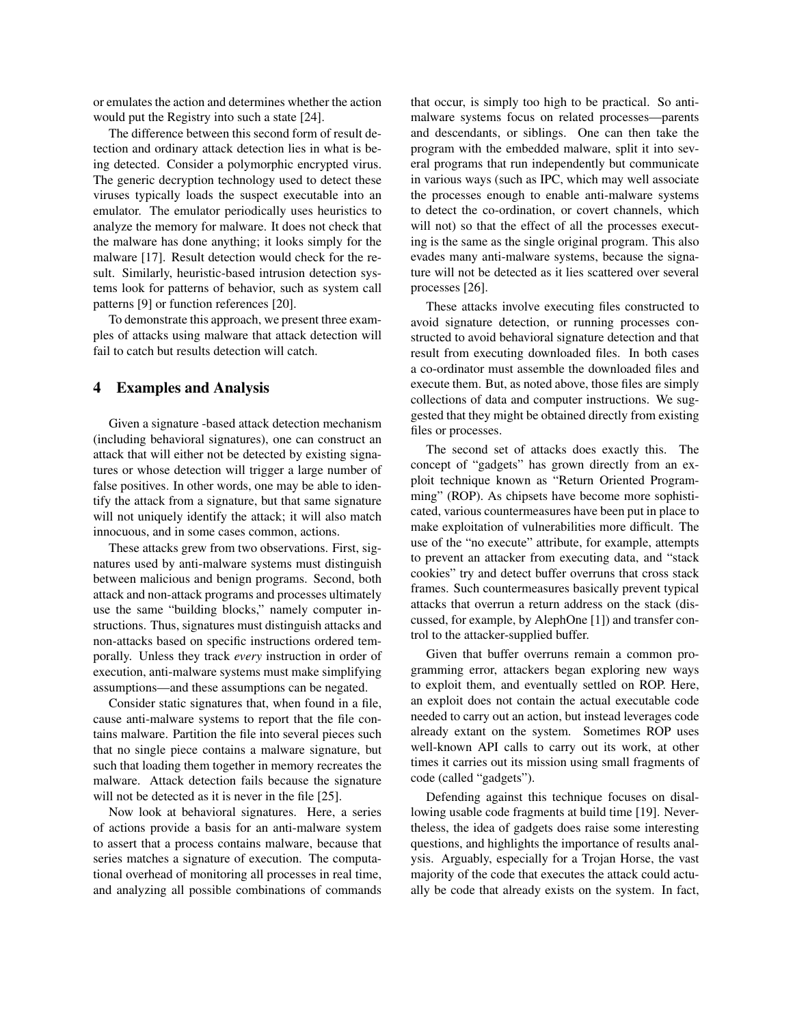or emulates the action and determines whether the action would put the Registry into such a state [24].

The difference between this second form of result detection and ordinary attack detection lies in what is being detected. Consider a polymorphic encrypted virus. The generic decryption technology used to detect these viruses typically loads the suspect executable into an emulator. The emulator periodically uses heuristics to analyze the memory for malware. It does not check that the malware has done anything; it looks simply for the malware [17]. Result detection would check for the result. Similarly, heuristic-based intrusion detection systems look for patterns of behavior, such as system call patterns [9] or function references [20].

To demonstrate this approach, we present three examples of attacks using malware that attack detection will fail to catch but results detection will catch.

#### 4 Examples and Analysis

Given a signature -based attack detection mechanism (including behavioral signatures), one can construct an attack that will either not be detected by existing signatures or whose detection will trigger a large number of false positives. In other words, one may be able to identify the attack from a signature, but that same signature will not uniquely identify the attack; it will also match innocuous, and in some cases common, actions.

These attacks grew from two observations. First, signatures used by anti-malware systems must distinguish between malicious and benign programs. Second, both attack and non-attack programs and processes ultimately use the same "building blocks," namely computer instructions. Thus, signatures must distinguish attacks and non-attacks based on specific instructions ordered temporally. Unless they track *every* instruction in order of execution, anti-malware systems must make simplifying assumptions—and these assumptions can be negated.

Consider static signatures that, when found in a file, cause anti-malware systems to report that the file contains malware. Partition the file into several pieces such that no single piece contains a malware signature, but such that loading them together in memory recreates the malware. Attack detection fails because the signature will not be detected as it is never in the file [25].

Now look at behavioral signatures. Here, a series of actions provide a basis for an anti-malware system to assert that a process contains malware, because that series matches a signature of execution. The computational overhead of monitoring all processes in real time, and analyzing all possible combinations of commands that occur, is simply too high to be practical. So antimalware systems focus on related processes—parents and descendants, or siblings. One can then take the program with the embedded malware, split it into several programs that run independently but communicate in various ways (such as IPC, which may well associate the processes enough to enable anti-malware systems to detect the co-ordination, or covert channels, which will not) so that the effect of all the processes executing is the same as the single original program. This also evades many anti-malware systems, because the signature will not be detected as it lies scattered over several processes [26].

These attacks involve executing files constructed to avoid signature detection, or running processes constructed to avoid behavioral signature detection and that result from executing downloaded files. In both cases a co-ordinator must assemble the downloaded files and execute them. But, as noted above, those files are simply collections of data and computer instructions. We suggested that they might be obtained directly from existing files or processes.

The second set of attacks does exactly this. The concept of "gadgets" has grown directly from an exploit technique known as "Return Oriented Programming" (ROP). As chipsets have become more sophisticated, various countermeasures have been put in place to make exploitation of vulnerabilities more difficult. The use of the "no execute" attribute, for example, attempts to prevent an attacker from executing data, and "stack cookies" try and detect buffer overruns that cross stack frames. Such countermeasures basically prevent typical attacks that overrun a return address on the stack (discussed, for example, by AlephOne [1]) and transfer control to the attacker-supplied buffer.

Given that buffer overruns remain a common programming error, attackers began exploring new ways to exploit them, and eventually settled on ROP. Here, an exploit does not contain the actual executable code needed to carry out an action, but instead leverages code already extant on the system. Sometimes ROP uses well-known API calls to carry out its work, at other times it carries out its mission using small fragments of code (called "gadgets").

Defending against this technique focuses on disallowing usable code fragments at build time [19]. Nevertheless, the idea of gadgets does raise some interesting questions, and highlights the importance of results analysis. Arguably, especially for a Trojan Horse, the vast majority of the code that executes the attack could actually be code that already exists on the system. In fact,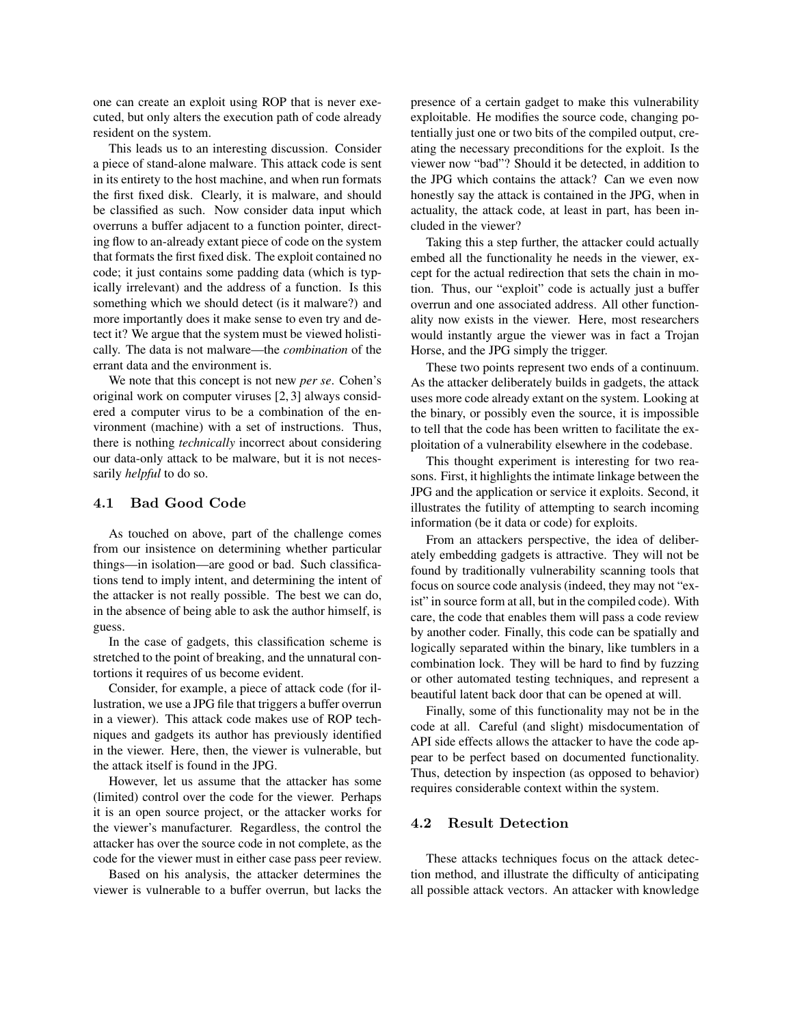one can create an exploit using ROP that is never executed, but only alters the execution path of code already resident on the system.

This leads us to an interesting discussion. Consider a piece of stand-alone malware. This attack code is sent in its entirety to the host machine, and when run formats the first fixed disk. Clearly, it is malware, and should be classified as such. Now consider data input which overruns a buffer adjacent to a function pointer, directing flow to an-already extant piece of code on the system that formats the first fixed disk. The exploit contained no code; it just contains some padding data (which is typically irrelevant) and the address of a function. Is this something which we should detect (is it malware?) and more importantly does it make sense to even try and detect it? We argue that the system must be viewed holistically. The data is not malware—the *combination* of the errant data and the environment is.

We note that this concept is not new *per se*. Cohen's original work on computer viruses [2, 3] always considered a computer virus to be a combination of the environment (machine) with a set of instructions. Thus, there is nothing *technically* incorrect about considering our data-only attack to be malware, but it is not necessarily *helpful* to do so.

#### 4.1 Bad Good Code

As touched on above, part of the challenge comes from our insistence on determining whether particular things—in isolation—are good or bad. Such classifications tend to imply intent, and determining the intent of the attacker is not really possible. The best we can do, in the absence of being able to ask the author himself, is guess.

In the case of gadgets, this classification scheme is stretched to the point of breaking, and the unnatural contortions it requires of us become evident.

Consider, for example, a piece of attack code (for illustration, we use a JPG file that triggers a buffer overrun in a viewer). This attack code makes use of ROP techniques and gadgets its author has previously identified in the viewer. Here, then, the viewer is vulnerable, but the attack itself is found in the JPG.

However, let us assume that the attacker has some (limited) control over the code for the viewer. Perhaps it is an open source project, or the attacker works for the viewer's manufacturer. Regardless, the control the attacker has over the source code in not complete, as the code for the viewer must in either case pass peer review.

Based on his analysis, the attacker determines the viewer is vulnerable to a buffer overrun, but lacks the

presence of a certain gadget to make this vulnerability exploitable. He modifies the source code, changing potentially just one or two bits of the compiled output, creating the necessary preconditions for the exploit. Is the viewer now "bad"? Should it be detected, in addition to the JPG which contains the attack? Can we even now honestly say the attack is contained in the JPG, when in actuality, the attack code, at least in part, has been included in the viewer?

Taking this a step further, the attacker could actually embed all the functionality he needs in the viewer, except for the actual redirection that sets the chain in motion. Thus, our "exploit" code is actually just a buffer overrun and one associated address. All other functionality now exists in the viewer. Here, most researchers would instantly argue the viewer was in fact a Trojan Horse, and the JPG simply the trigger.

These two points represent two ends of a continuum. As the attacker deliberately builds in gadgets, the attack uses more code already extant on the system. Looking at the binary, or possibly even the source, it is impossible to tell that the code has been written to facilitate the exploitation of a vulnerability elsewhere in the codebase.

This thought experiment is interesting for two reasons. First, it highlights the intimate linkage between the JPG and the application or service it exploits. Second, it illustrates the futility of attempting to search incoming information (be it data or code) for exploits.

From an attackers perspective, the idea of deliberately embedding gadgets is attractive. They will not be found by traditionally vulnerability scanning tools that focus on source code analysis (indeed, they may not "exist" in source form at all, but in the compiled code). With care, the code that enables them will pass a code review by another coder. Finally, this code can be spatially and logically separated within the binary, like tumblers in a combination lock. They will be hard to find by fuzzing or other automated testing techniques, and represent a beautiful latent back door that can be opened at will.

Finally, some of this functionality may not be in the code at all. Careful (and slight) misdocumentation of API side effects allows the attacker to have the code appear to be perfect based on documented functionality. Thus, detection by inspection (as opposed to behavior) requires considerable context within the system.

#### 4.2 Result Detection

These attacks techniques focus on the attack detection method, and illustrate the difficulty of anticipating all possible attack vectors. An attacker with knowledge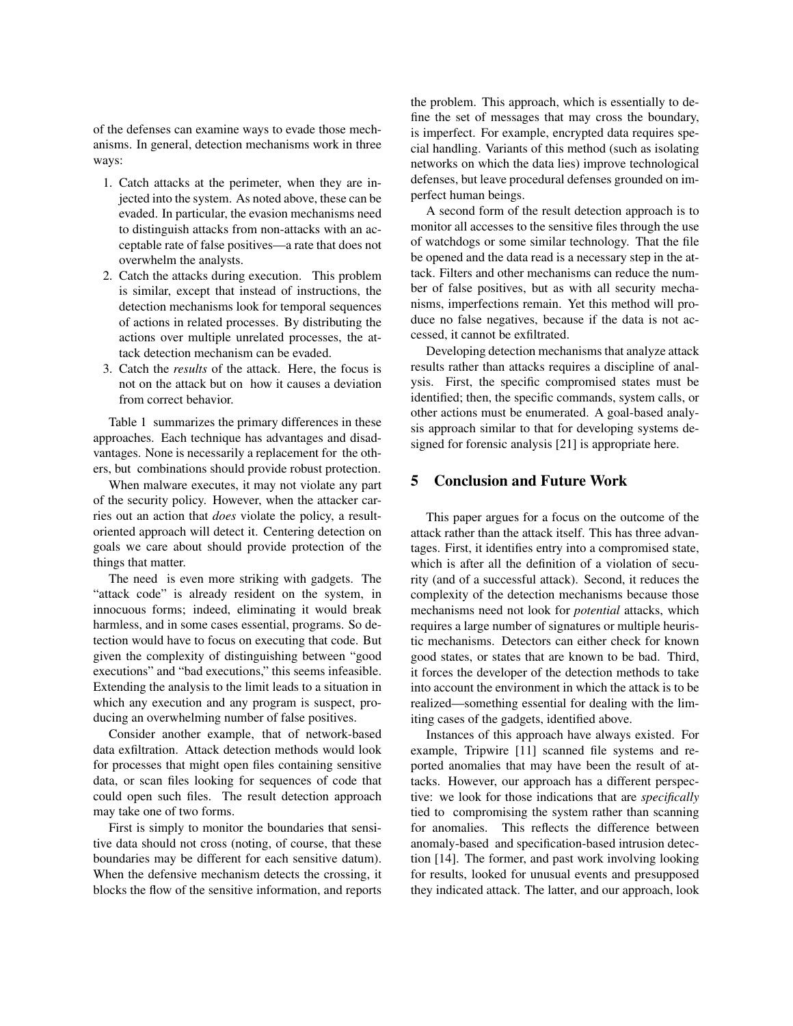of the defenses can examine ways to evade those mechanisms. In general, detection mechanisms work in three ways:

- 1. Catch attacks at the perimeter, when they are injected into the system. As noted above, these can be evaded. In particular, the evasion mechanisms need to distinguish attacks from non-attacks with an acceptable rate of false positives—a rate that does not overwhelm the analysts.
- 2. Catch the attacks during execution. This problem is similar, except that instead of instructions, the detection mechanisms look for temporal sequences of actions in related processes. By distributing the actions over multiple unrelated processes, the attack detection mechanism can be evaded.
- 3. Catch the *results* of the attack. Here, the focus is not on the attack but on how it causes a deviation from correct behavior.

Table 1 summarizes the primary differences in these approaches. Each technique has advantages and disadvantages. None is necessarily a replacement for the others, but combinations should provide robust protection.

When malware executes, it may not violate any part of the security policy. However, when the attacker carries out an action that *does* violate the policy, a resultoriented approach will detect it. Centering detection on goals we care about should provide protection of the things that matter.

The need is even more striking with gadgets. The "attack code" is already resident on the system, in innocuous forms; indeed, eliminating it would break harmless, and in some cases essential, programs. So detection would have to focus on executing that code. But given the complexity of distinguishing between "good executions" and "bad executions," this seems infeasible. Extending the analysis to the limit leads to a situation in which any execution and any program is suspect, producing an overwhelming number of false positives.

Consider another example, that of network-based data exfiltration. Attack detection methods would look for processes that might open files containing sensitive data, or scan files looking for sequences of code that could open such files. The result detection approach may take one of two forms.

First is simply to monitor the boundaries that sensitive data should not cross (noting, of course, that these boundaries may be different for each sensitive datum). When the defensive mechanism detects the crossing, it blocks the flow of the sensitive information, and reports

the problem. This approach, which is essentially to define the set of messages that may cross the boundary, is imperfect. For example, encrypted data requires special handling. Variants of this method (such as isolating networks on which the data lies) improve technological defenses, but leave procedural defenses grounded on imperfect human beings.

A second form of the result detection approach is to monitor all accesses to the sensitive files through the use of watchdogs or some similar technology. That the file be opened and the data read is a necessary step in the attack. Filters and other mechanisms can reduce the number of false positives, but as with all security mechanisms, imperfections remain. Yet this method will produce no false negatives, because if the data is not accessed, it cannot be exfiltrated.

Developing detection mechanisms that analyze attack results rather than attacks requires a discipline of analysis. First, the specific compromised states must be identified; then, the specific commands, system calls, or other actions must be enumerated. A goal-based analysis approach similar to that for developing systems designed for forensic analysis [21] is appropriate here.

# 5 Conclusion and Future Work

This paper argues for a focus on the outcome of the attack rather than the attack itself. This has three advantages. First, it identifies entry into a compromised state, which is after all the definition of a violation of security (and of a successful attack). Second, it reduces the complexity of the detection mechanisms because those mechanisms need not look for *potential* attacks, which requires a large number of signatures or multiple heuristic mechanisms. Detectors can either check for known good states, or states that are known to be bad. Third, it forces the developer of the detection methods to take into account the environment in which the attack is to be realized—something essential for dealing with the limiting cases of the gadgets, identified above.

Instances of this approach have always existed. For example, Tripwire [11] scanned file systems and reported anomalies that may have been the result of attacks. However, our approach has a different perspective: we look for those indications that are *specifically* tied to compromising the system rather than scanning for anomalies. This reflects the difference between anomaly-based and specification-based intrusion detection [14]. The former, and past work involving looking for results, looked for unusual events and presupposed they indicated attack. The latter, and our approach, look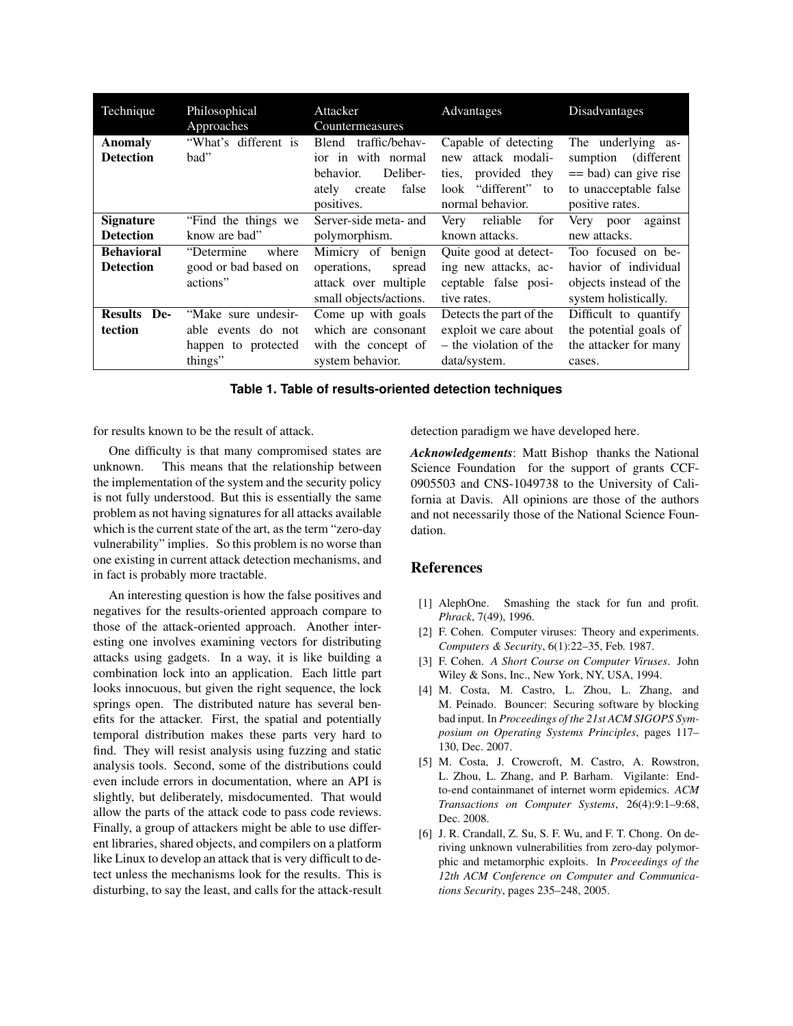| Technique                             | Philosophical<br>Approaches                                                 | Attacker<br>Countermeasures                                                                                             | Advantages                                                                                                         | Disadvantages                                                                                                    |
|---------------------------------------|-----------------------------------------------------------------------------|-------------------------------------------------------------------------------------------------------------------------|--------------------------------------------------------------------------------------------------------------------|------------------------------------------------------------------------------------------------------------------|
| <b>Anomaly</b><br><b>Detection</b>    | "What's different is<br>bad"                                                | traffic/behav-<br><b>Blend</b><br>ior in with normal<br>behavior.<br>Deliber-<br>false<br>ately<br>create<br>positives. | Capable of detecting<br>attack modali-<br>new<br>provided they<br>ties.<br>look "different" to<br>normal behavior. | The underlying as-<br>sumption (different<br>$==$ bad) can give rise<br>to unacceptable false<br>positive rates. |
| <b>Signature</b><br><b>Detection</b>  | "Find the things we<br>know are bad"                                        | Server-side meta- and<br>polymorphism.                                                                                  | reliable<br>Very<br>for<br>known attacks.                                                                          | Very poor<br>against<br>new attacks.                                                                             |
| <b>Behavioral</b><br><b>Detection</b> | "Determine"<br>where<br>good or bad based on<br>actions"                    | Mimicry of benign<br>operations,<br>spread<br>attack over multiple<br>small objects/actions.                            | Quite good at detect-<br>ing new attacks, ac-<br>ceptable false posi-<br>tive rates.                               | Too focused on be-<br>havior of individual<br>objects instead of the<br>system holistically.                     |
| <b>Results</b> De-<br>tection         | "Make sure undesir-<br>able events do not<br>happen to protected<br>things" | Come up with goals<br>which are consonant<br>with the concept of<br>system behavior.                                    | Detects the part of the<br>exploit we care about<br>– the violation of the<br>data/system.                         | Difficult to quantify<br>the potential goals of<br>the attacker for many<br>cases.                               |

**Table 1. Table of results-oriented detection techniques**

for results known to be the result of attack.

One difficulty is that many compromised states are unknown. This means that the relationship between the implementation of the system and the security policy is not fully understood. But this is essentially the same problem as not having signatures for all attacks available which is the current state of the art, as the term "zero-day vulnerability" implies. So this problem is no worse than one existing in current attack detection mechanisms, and in fact is probably more tractable.

An interesting question is how the false positives and negatives for the results-oriented approach compare to those of the attack-oriented approach. Another interesting one involves examining vectors for distributing attacks using gadgets. In a way, it is like building a combination lock into an application. Each little part looks innocuous, but given the right sequence, the lock springs open. The distributed nature has several benefits for the attacker. First, the spatial and potentially temporal distribution makes these parts very hard to find. They will resist analysis using fuzzing and static analysis tools. Second, some of the distributions could even include errors in documentation, where an API is slightly, but deliberately, misdocumented. That would allow the parts of the attack code to pass code reviews. Finally, a group of attackers might be able to use different libraries, shared objects, and compilers on a platform like Linux to develop an attack that is very difficult to detect unless the mechanisms look for the results. This is disturbing, to say the least, and calls for the attack-result

detection paradigm we have developed here.

*Acknowledgements*: Matt Bishop thanks the National Science Foundation for the support of grants CCF-0905503 and CNS-1049738 to the University of California at Davis. All opinions are those of the authors and not necessarily those of the National Science Foundation.

### References

- [1] AlephOne. Smashing the stack for fun and profit. *Phrack*, 7(49), 1996.
- [2] F. Cohen. Computer viruses: Theory and experiments. *Computers & Security*, 6(1):22–35, Feb. 1987.
- [3] F. Cohen. *A Short Course on Computer Viruses*. John Wiley & Sons, Inc., New York, NY, USA, 1994.
- [4] M. Costa, M. Castro, L. Zhou, L. Zhang, and M. Peinado. Bouncer: Securing software by blocking bad input. In *Proceedings of the 21st ACM SIGOPS Symposium on Operating Systems Principles*, pages 117– 130, Dec. 2007.
- [5] M. Costa, J. Crowcroft, M. Castro, A. Rowstron, L. Zhou, L. Zhang, and P. Barham. Vigilante: Endto-end containmanet of internet worm epidemics. *ACM Transactions on Computer Systems*, 26(4):9:1–9:68, Dec. 2008.
- [6] J. R. Crandall, Z. Su, S. F. Wu, and F. T. Chong. On deriving unknown vulnerabilities from zero-day polymorphic and metamorphic exploits. In *Proceedings of the 12th ACM Conference on Computer and Communications Security*, pages 235–248, 2005.